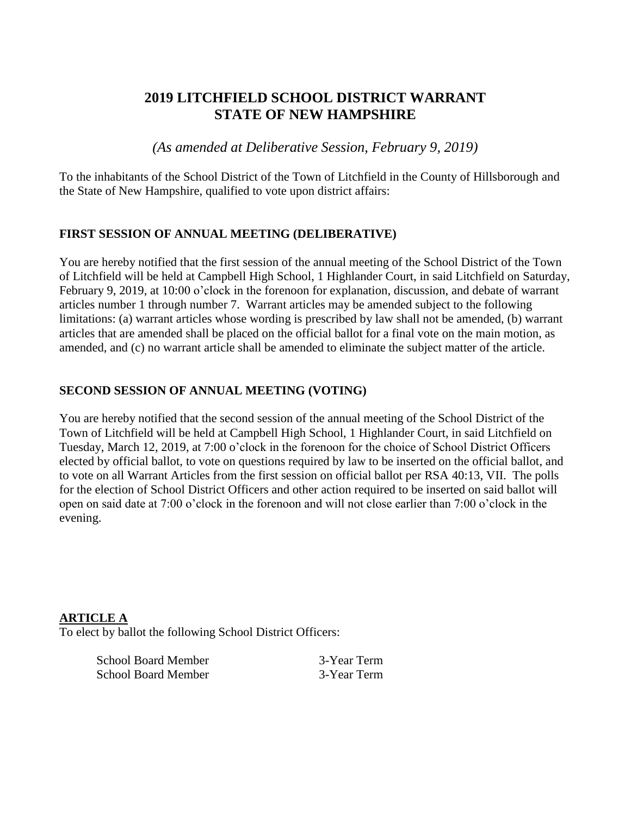# **2019 LITCHFIELD SCHOOL DISTRICT WARRANT STATE OF NEW HAMPSHIRE**

*(As amended at Deliberative Session, February 9, 2019)*

To the inhabitants of the School District of the Town of Litchfield in the County of Hillsborough and the State of New Hampshire, qualified to vote upon district affairs:

#### **FIRST SESSION OF ANNUAL MEETING (DELIBERATIVE)**

You are hereby notified that the first session of the annual meeting of the School District of the Town of Litchfield will be held at Campbell High School, 1 Highlander Court, in said Litchfield on Saturday, February 9, 2019, at 10:00 o'clock in the forenoon for explanation, discussion, and debate of warrant articles number 1 through number 7. Warrant articles may be amended subject to the following limitations: (a) warrant articles whose wording is prescribed by law shall not be amended, (b) warrant articles that are amended shall be placed on the official ballot for a final vote on the main motion, as amended, and (c) no warrant article shall be amended to eliminate the subject matter of the article.

### **SECOND SESSION OF ANNUAL MEETING (VOTING)**

You are hereby notified that the second session of the annual meeting of the School District of the Town of Litchfield will be held at Campbell High School, 1 Highlander Court, in said Litchfield on Tuesday, March 12, 2019, at 7:00 o'clock in the forenoon for the choice of School District Officers elected by official ballot, to vote on questions required by law to be inserted on the official ballot, and to vote on all Warrant Articles from the first session on official ballot per RSA 40:13, VII. The polls for the election of School District Officers and other action required to be inserted on said ballot will open on said date at 7:00 o'clock in the forenoon and will not close earlier than 7:00 o'clock in the evening.

#### **ARTICLE A**

To elect by ballot the following School District Officers:

| <b>School Board Member</b> |  |
|----------------------------|--|
| <b>School Board Member</b> |  |

3-Year Term 3-Year Term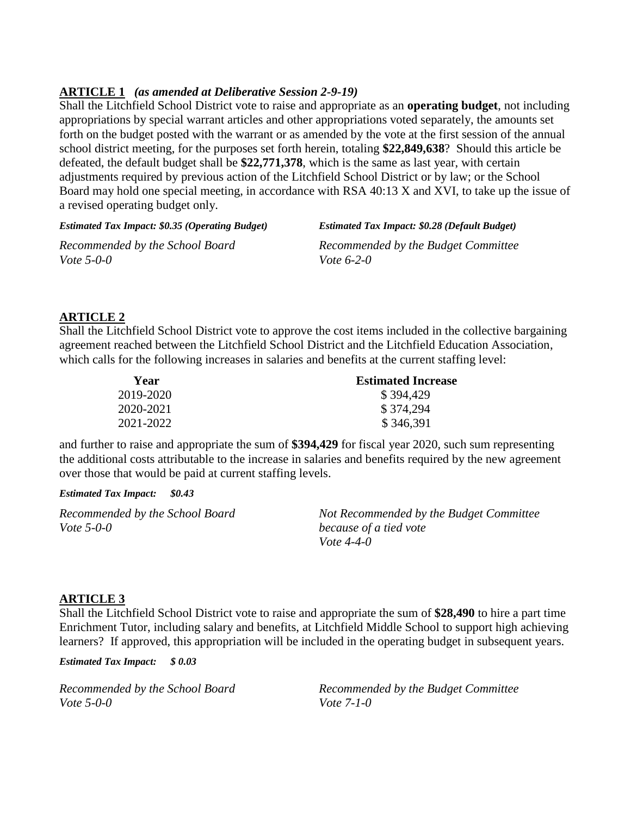#### **ARTICLE 1** *(as amended at Deliberative Session 2-9-19)*

Shall the Litchfield School District vote to raise and appropriate as an **operating budget**, not including appropriations by special warrant articles and other appropriations voted separately, the amounts set forth on the budget posted with the warrant or as amended by the vote at the first session of the annual school district meeting, for the purposes set forth herein, totaling **\$22,849,638**? Should this article be defeated, the default budget shall be **\$22,771,378**, which is the same as last year, with certain adjustments required by previous action of the Litchfield School District or by law; or the School Board may hold one special meeting, in accordance with RSA 40:13 X and XVI, to take up the issue of a revised operating budget only.

*Estimated Tax Impact: \$0.35 (Operating Budget) Estimated Tax Impact: \$0.28 (Default Budget)*

*Vote 5-0-0 Vote 6-2-0*

*Recommended by the School Board Recommended by the Budget Committee*

### **ARTICLE 2**

Shall the Litchfield School District vote to approve the cost items included in the collective bargaining agreement reached between the Litchfield School District and the Litchfield Education Association, which calls for the following increases in salaries and benefits at the current staffing level:

| Year      | <b>Estimated Increase</b> |  |
|-----------|---------------------------|--|
| 2019-2020 | \$394,429                 |  |
| 2020-2021 | \$374,294                 |  |
| 2021-2022 | \$346,391                 |  |

and further to raise and appropriate the sum of **\$394,429** for fiscal year 2020, such sum representing the additional costs attributable to the increase in salaries and benefits required by the new agreement over those that would be paid at current staffing levels.

*Estimated Tax Impact: \$0.43*

*Vote 5-0-0 because of a tied vote*

*Recommended by the School Board Not Recommended by the Budget Committee Vote 4-4-0*

### **ARTICLE 3**

Shall the Litchfield School District vote to raise and appropriate the sum of **\$28,490** to hire a part time Enrichment Tutor, including salary and benefits, at Litchfield Middle School to support high achieving learners? If approved, this appropriation will be included in the operating budget in subsequent years.

*Estimated Tax Impact: \$ 0.03*

*Vote 5-0-0 Vote 7-1-0*

*Recommended by the School Board Recommended by the Budget Committee*